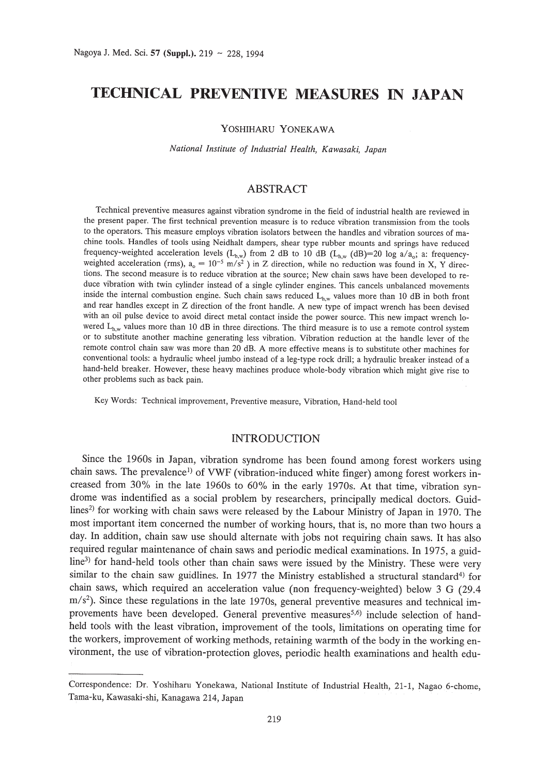# **TECHNICAL PREVENTIVE MEASURES IN JAPAN**

YOSHIHARU YONEKAWA

*National Institute of Industrial Health, Kawasaki, Japan*

## ABSTRACT

Technical preventive measures against vibration syndrome in the field of industrial health are reviewed in the present paper. The first technical prevention measure is to reduce vibration transmission from the tools to the operators. This measure employs vibration isolators between the handles and vibration sources of machine tools. Handles of tools using Neidhalt dampers, shear type rubber mounts and springs have reduced frequency-weighted acceleration levels  $(L_{h,w})$  from 2 dB to 10 dB  $(L_{h,w})$  (dB)=20 log a/a<sub>o</sub>; a: frequencyweighted acceleration (rms),  $a_0 = 10^{-5}$  m/s<sup>2</sup>) in Z direction, while no reduction was found in X, Y directions. The second measure is to reduce vibration at the source; New chain saws have been developed to reduce vibration with twin cylinder instead of a single cylinder engines. This cancels unbalanced movements inside the internal combustion engine. Such chain saws reduced  $L_{h,w}$  values more than 10 dB in both front and rear handles except in Z direction of the front handle. A new type of impact wrench has been devised with an oil pulse device to avoid direct metal contact inside the power source. This new impact wrench lowered  $L_{h,w}$  values more than 10 dB in three directions. The third measure is to use a remote control system or to substitute another machine generating less vibration. Vibration reduction at the handle lever of the remote control chain saw was more than 20 dB. A more effective means is to substitute other machines for conventional tools: a hydraulic wheel jumbo instead of a leg-type rock drill; a hydraulic breaker instead of a hand-held breaker. However, these heavy machines produce whole-body vibration which might give rise to other problems such as back pain.

Key Words: Technical improvement, Preventive measure, Vibration, Hand-held tool

#### INTRODUCTION

Since the 1960s in Japan, vibration syndrome has been found among forest workers using chain saws. The prevalence<sup>1</sup> of VWF (vibration-induced white finger) among forest workers increased from 30% in the late 1960s to 60% in the early 1970s. At that time, vibration syndrome was indentified as a social problem by researchers, principally medical doctors. Guid- $\frac{\text{lines}}{2}$  for working with chain saws were released by the Labour Ministry of Japan in 1970. The most important item concerned the number of working hours, that is, no more than two hours a day. In addition, chain saw use should alternate with jobs not requiring chain saws. It has also required regular maintenance of chain saws and periodic medical examinations. In 1975, a guidline<sup>3)</sup> for hand-held tools other than chain saws were issued by the Ministry. These were very similar to the chain saw guidlines. In 1977 the Ministry established a structural standard<sup>4)</sup> for chain saws, which required an acceleration value (non frequency-weighted) below 3 G (29.4  $\text{m/s}^2$ ). Since these regulations in the late 1970s, general preventive measures and technical improvements have been developed. General preventive measures<sup>5,6)</sup> include selection of handheld tools with the least vibration, improvement of the tools, limitations on operating time for the workers, improvement of working methods, retaining warmth of the body in the working environment, the use of vibration-protection gloves, periodic health examinations and health edu-

Correspondence: Dr. Yoshiharu Yonekawa, National Institute of Industrial Health, 21-1, Nagao 6-chome, Tama-ku, Kawasaki-shi, Kanagawa 214, Japan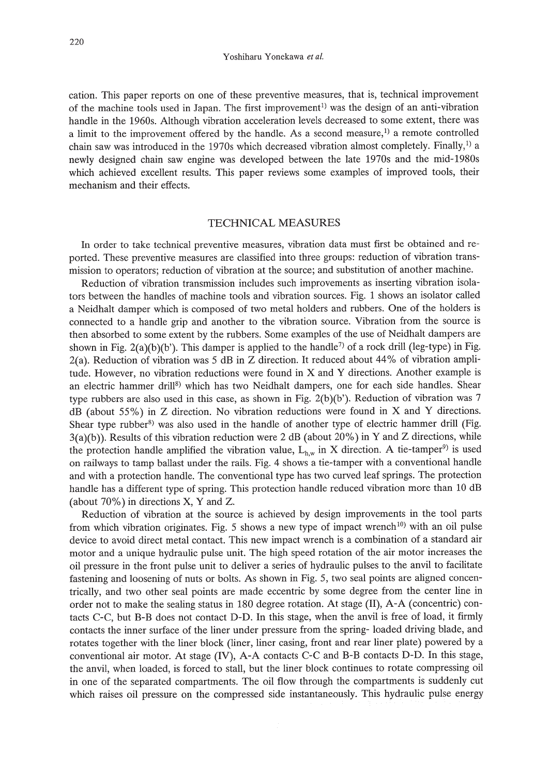Yoshiharu Yonekawa *et al.*

cation. This paper reports on one of these preventive measures, that is, technical improvement of the machine tools used in Japan. The first improvement<sup>1)</sup> was the design of an anti-vibration handle in the 1960s. Although vibration acceleration levels decreased to some extent, there was a limit to the improvement offered by the handle. As a second measure,<sup>1)</sup> a remote controlled chain saw was introduced in the 1970s which decreased vibration almost completely. Finally,<sup>1)</sup> a newly designed chain saw engine was developed between the late 1970s and the mid-1980s which achieved excellent results. This paper reviews some examples of improved tools, their mechanism and their effects.

### TECHNICAL MEASURES

In order to take technical preventive measures, vibration data must first be obtained and reported. These preventive measures are classified into three groups: reduction of vibration transmission to operators; reduction of vibration at the source; and substitution of another machine.

Reduction of vibration transmission includes such improvements as inserting vibration isolators between the handles of machine tools and vibration sources. Fig. 1 shows an isolator called a Neidhalt damper which is composed of two metal holders and rubbers. One of the holders is connected to a handle grip and another to the vibration source. Vibration from the source is then absorbed to some extent by the rubbers. Some examples of the use of Neidhalt dampers are shown in Fig. 2(a)(b)(b'). This damper is applied to the handle<sup>7)</sup> of a rock drill (leg-type) in Fig. 2(a). Reduction of vibration was 5 dB in Z direction. It reduced about 44% of vibration amplitude. However, no vibration reductions were found in X and Y directions. Another example is an electric hammer drill<sup>8)</sup> which has two Neidhalt dampers, one for each side handles. Shear type rubbers are also used in this case, as shown in Fig.  $2(b)(b')$ . Reduction of vibration was 7 dB (about 55%) in Z direction. No vibration reductions were found in X and Y directions. Shear type rubber<sup>8)</sup> was also used in the handle of another type of electric hammer drill (Fig. 3(a)(b)). Results of this vibration reduction were 2 dB (about 20%) in Y and Z directions, while the protection handle amplified the vibration value,  $L_{h,w}$  in X direction. A tie-tamper<sup>9)</sup> is used on railways to tamp ballast under the rails. Fig. 4 shows a tie-tamper with a conventional handle and with a protection handle. The conventional type has two curved leaf springs. The protection handle has a different type of spring. This protection handle reduced vibration more than 10 dB (about 70%) in directions X, Y and Z.

Reduction of vibration at the source is achieved by design improvements in the tool parts from which vibration originates. Fig. 5 shows a new type of impact wrench<sup>10</sup>) with an oil pulse device to avoid direct metal contact. This new impact wrench is a combination of a standard air motor and a unique hydraulic pulse unit. The high speed rotation of the air motor increases the oil pressure in the front pulse unit to deliver a series of hydraulic pulses to the anvil to facilitate fastening and loosening of nuts or bolts. As shown in Fig. 5, two seal points are aligned concentrically, and two other seal points are made eccentric by some degree from the center line in order not to make the sealing status in 180 degree rotation. At stage (II), A-A (concentric) contacts C-C, but B-B does not contact D-D. In this stage, when the anvil is free of load, it firmly contacts the inner surface of the liner under pressure from the spring- loaded driving blade, and rotates together with the liner block (liner, liner casing, front and rear liner plate) powered by a conventional air motor. At stage (IV), A-A contacts C-C and B-B contacts D-D. In this stage, the anvil, when loaded, is forced to stall, but the liner block continues to rotate compressing oil in one of the separated compartments. The oil flow through the compartments is suddenly cut which raises oil pressure on the compressed side instantaneously. This hydraulic pulse energy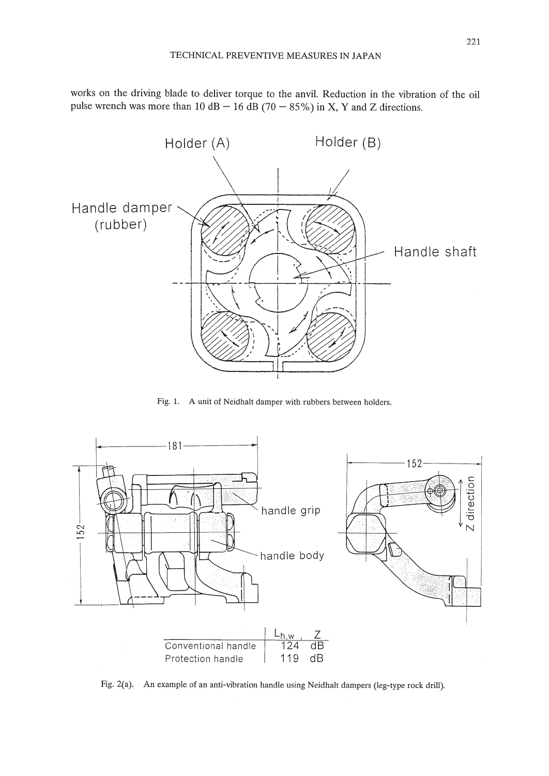works on the driving blade to deliver torque to the anvil. Reduction in the vibration of the oil pulse wrench was more than 10 dB  $-$  16 dB (70  $-$  85%) in X, Y and Z directions.



Fig. 1. A unit of Neidhalt damper with rubbers between holders.



Fig. 2(a). An example of an anti-vibration handle using Neidhalt dampers (leg-type rock drill).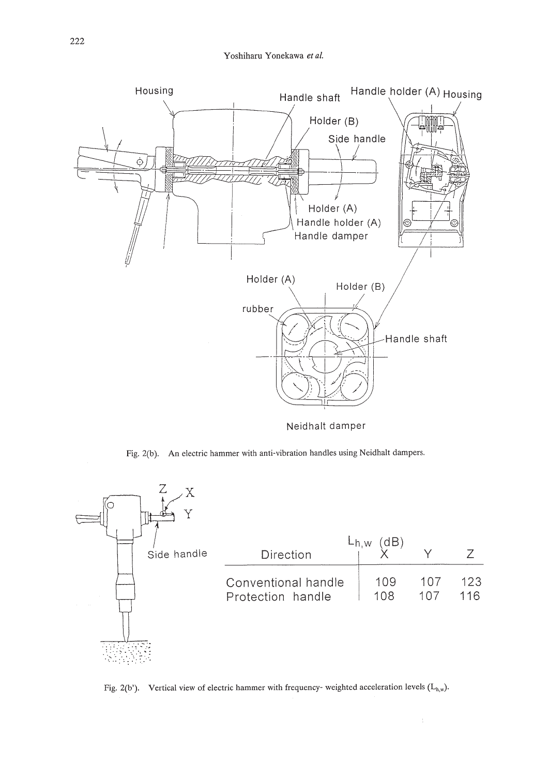

Neidhalt damper

Fig. 2(b). An electric hammer with anti-vibration handles using Neidhalt dampers.



Fig. 2(b'). Vertical view of electric hammer with frequency- weighted acceleration levels  $(L_{h,w})$ .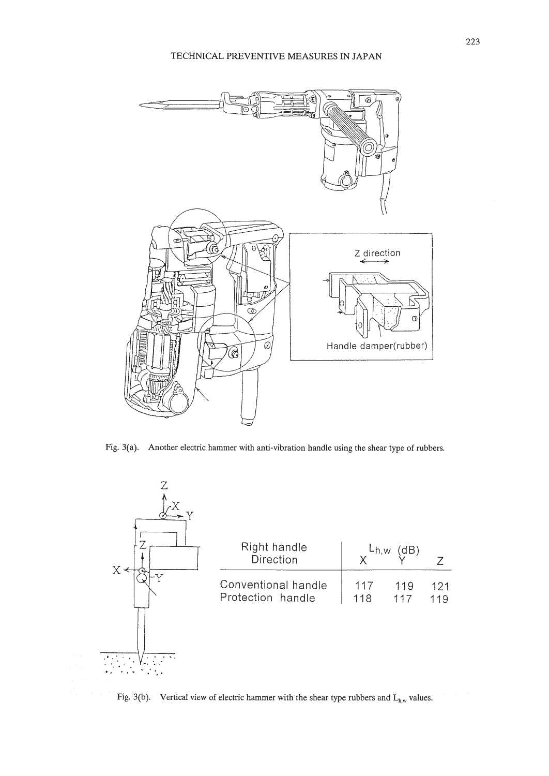

Fig. 3(a). Another electric hammer with anti-vibration handle using the shear type of rubbers.



Fig. 3(b). Vertical view of electric hammer with the shear type rubbers and  $L_{h,w}$  values.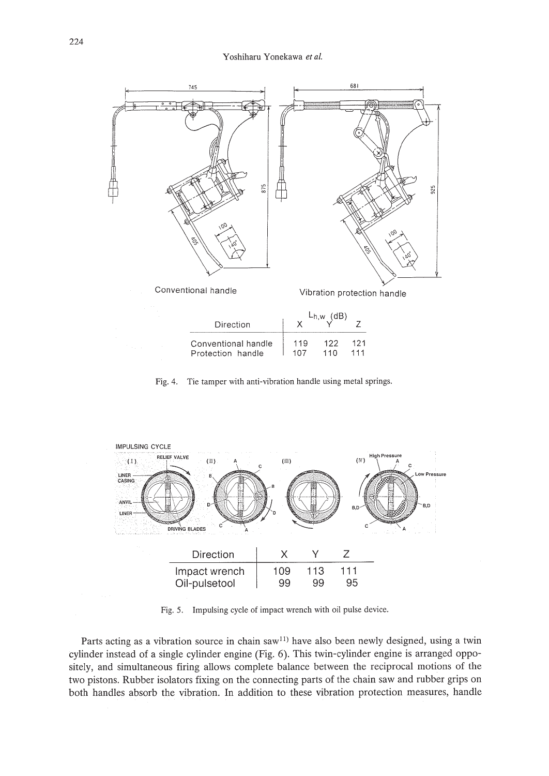

Fig. 4. Tie tamper with anti-vibration handle using metal springs.



Fig. 5. Impulsing cycle of impact wrench with oil pulse device.

Parts acting as a vibration source in chain saw<sup>11</sup> have also been newly designed, using a twin cylinder instead of a single cylinder engine (Fig. 6). This twin-cylinder engine is arranged oppositely, and simultaneous firing allows complete balance between the reciprocal motions of the two pistons. Rubber isolators fixing on the connecting parts of the chain saw and rubber grips on both handles absorb the vibration. In addition to these vibration protection measures, handle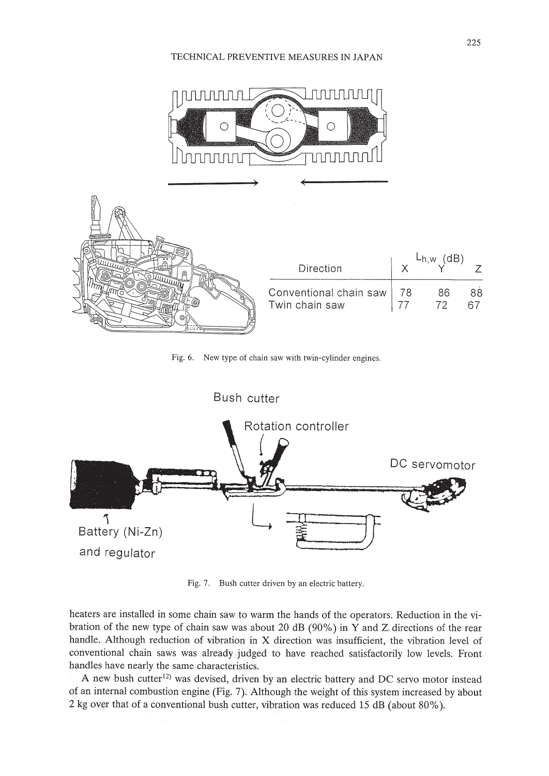

Fig. 6. New type of chain saw with twin-cylinder engines.



Fig. 7. Bush cutter driven by an electric battery.

heaters are installed in some chain saw to warm the hands of the operators. Reduction in the vibration of the new type of chain saw was about 20 dB (90%) in Y and Z directions of the rear handle. Although reduction of vibration **in** X direction was insufficient, the vibration level of conventional chain saws was already judged to have reached satisfactorily low levels. Front handles have nearly the same characteristics.

A new bush cutter<sup>12)</sup> was devised, driven by an electric battery and DC servo motor instead of an internal combustion engine (Fig. 7). Although the weight of this system increased by about 2 kg over that of a conventional bush cutter, vibration was reduced 15 dB (about 80%).

225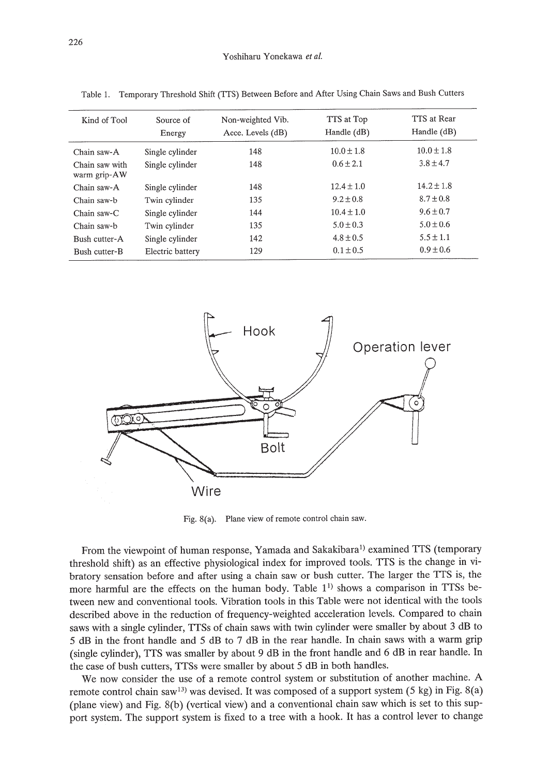| Kind of Tool                   | Source of<br>Energy | Non-weighted Vib.<br>Acce. Levels $(dB)$ | TTS at Top<br>Handle $(dB)$ | TTS at Rear<br>Handle (dB) |
|--------------------------------|---------------------|------------------------------------------|-----------------------------|----------------------------|
| Chain saw-A                    | Single cylinder     | 148                                      | $10.0 + 1.8$                | $10.0 \pm 1.8$             |
| Chain saw with<br>warm grip-AW | Single cylinder     | 148                                      | $0.6 \pm 2.1$               | $3.8 \pm 4.7$              |
| Chain saw-A                    | Single cylinder     | 148                                      | $12.4 \pm 1.0$              | $14.2 \pm 1.8$             |
| Chain saw-b                    | Twin cylinder       | 135                                      | $9.2 \pm 0.8$               | $8.7 \pm 0.8$              |
| Chain saw-C                    | Single cylinder     | 144                                      | $10.4 \pm 1.0$              | $9.6 \pm 0.7$              |
| Chain saw-b                    | Twin cylinder       | 135                                      | $5.0 \pm 0.3$               | $5.0 \pm 0.6$              |
| Bush cutter-A                  | Single cylinder     | 142                                      | $4.8 \pm 0.5$               | $5.5 \pm 1.1$              |
| Bush cutter-B                  | Electric battery    | 129                                      | $0.1 \pm 0.5$               | $0.9 \pm 0.6$              |

Table 1. Temporary Threshold Shift (TTS) Between Before and After Using Chain Saws and Bush Cutters



Fig.8(a). Plane view of remote control chain saw.

From the viewpoint of human response, Yamada and Sakakibara<sup>1)</sup> examined TTS (temporary threshold shift) as an effective physiological index for improved tools. ITS is the change in vibratory sensation before and after using a chain saw or bush cutter. The larger the ITS is, the more harmful are the effects on the human body. Table  $1<sup>1</sup>$  shows a comparison in TTSs between new and conventional tools. Vibration tools in this Table were not identical with the tools described above in the reduction of frequency-weighted acceleration levels. Compared to chain saws with a single cylinder, TTSs of chain saws with twin cylinder were smaller by about 3 dB to 5 dB in the front handle and 5 dB to 7 dB in the rear handle. In chain saws with a warm grip (single cylinder), ITS was smaller by about 9 dB in the front handle and 6 dB in rear handle. In the case of bush cutters, ITSs were smaller by about 5 dB in both handles.

We now consider the use of a remote control system or substitution of another machine. A remote control chain saw<sup>13)</sup> was devised. It was composed of a support system (5 kg) in Fig.  $8(a)$ (plane view) and Fig. 8(b) (vertical view) and a conventional chain saw which is set to this support system. The support system is fixed to a tree with a hook. It has a control lever to change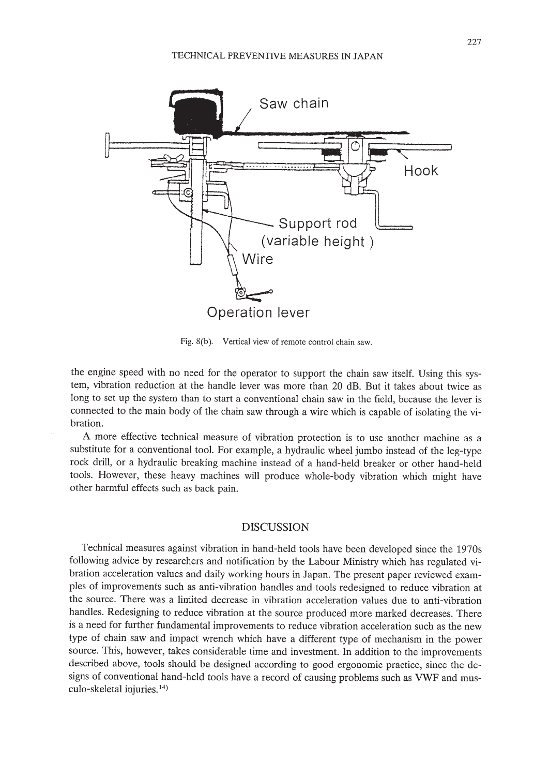

Fig.8(b). Vertical view of remote control chain saw.

the engine speed with no need for the operator to support the chain saw itself. Using this system, vibration reduction at the handle lever was more than 20 dB. But it takes about twice as long to set up the system than to start a conventional chain saw in the field, because the lever is connected to the main body of the chain saw through a wire which is capable of isolating the vibration.

A more effective technical measure of vibration protection is to use another machine as a substitute for a conventional tool. For example, a hydraulic wheel jumbo instead of the leg-type rock drill, or a hydraulic breaking machine instead of a hand-held breaker or other hand-held tools. However, these heavy machines will produce whole-body vibration which might have other harmful effects such as back pain.

### DISCUSSION

Technical measures against vibration in hand-held tools have been developed since the 1970s following advice by researchers and notification by the Labour Ministry which has regulated vibration acceleration values and daily working hours in Japan. The present paper reviewed examples of improvements such as anti-vibration handles and tools redesigned to reduce vibration at the source. There was a limited decrease in vibration acceleration values due to anti-vibration handles. Redesigning to reduce vibration at the source produced more marked decreases. There is a need for further fundamental improvements to reduce vibration acceleration such as the new type of chain saw and impact wrench which have a different type of mechanism in the power source. This, however, takes considerable time and investment. In addition to the improvements described above, tools should be designed according to good ergonomic practice, since the designs of conventional hand-held tools have a record of causing problems such as VWF and musculo-skeletal injuries. 14)